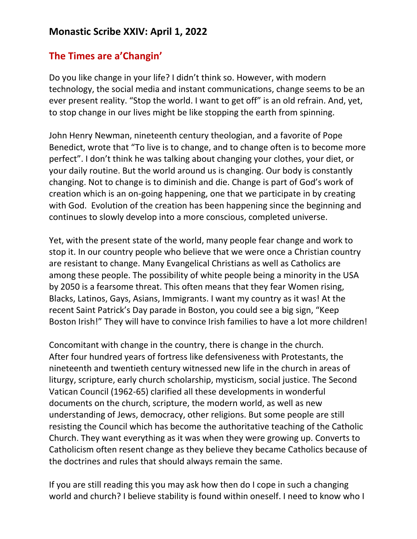## **The Times are a'Changin'**

Do you like change in your life? I didn't think so. However, with modern technology, the social media and instant communications, change seems to be an ever present reality. "Stop the world. I want to get off" is an old refrain. And, yet, to stop change in our lives might be like stopping the earth from spinning.

John Henry Newman, nineteenth century theologian, and a favorite of Pope Benedict, wrote that "To live is to change, and to change often is to become more perfect". I don't think he was talking about changing your clothes, your diet, or your daily routine. But the world around us is changing. Our body is constantly changing. Not to change is to diminish and die. Change is part of God's work of creation which is an on-going happening, one that we participate in by creating with God. Evolution of the creation has been happening since the beginning and continues to slowly develop into a more conscious, completed universe.

Yet, with the present state of the world, many people fear change and work to stop it. In our country people who believe that we were once a Christian country are resistant to change. Many Evangelical Christians as well as Catholics are among these people. The possibility of white people being a minority in the USA by 2050 is a fearsome threat. This often means that they fear Women rising, Blacks, Latinos, Gays, Asians, Immigrants. I want my country as it was! At the recent Saint Patrick's Day parade in Boston, you could see a big sign, "Keep Boston Irish!" They will have to convince Irish families to have a lot more children!

Concomitant with change in the country, there is change in the church. After four hundred years of fortress like defensiveness with Protestants, the nineteenth and twentieth century witnessed new life in the church in areas of liturgy, scripture, early church scholarship, mysticism, social justice. The Second Vatican Council (1962-65) clarified all these developments in wonderful documents on the church, scripture, the modern world, as well as new understanding of Jews, democracy, other religions. But some people are still resisting the Council which has become the authoritative teaching of the Catholic Church. They want everything as it was when they were growing up. Converts to Catholicism often resent change as they believe they became Catholics because of the doctrines and rules that should always remain the same.

If you are still reading this you may ask how then do I cope in such a changing world and church? I believe stability is found within oneself. I need to know who I